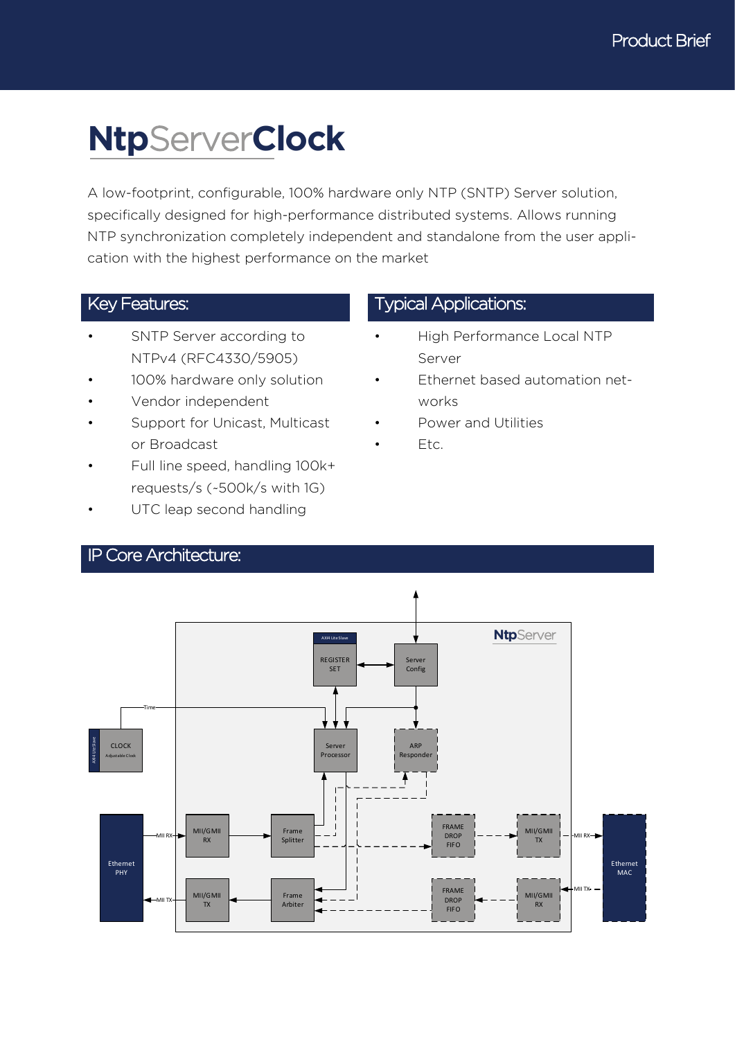# **Ntp**Server**Clock**

A low-footprint, configurable, 100% hardware only NTP (SNTP) Server solution, specifically designed for high-performance distributed systems. Allows running NTP synchronization completely independent and standalone from the user application with the highest performance on the market

- SNTP Server according to NTPv4 (RFC4330/5905)
- 100% hardware only solution
- Vendor independent
- Support for Unicast, Multicast or Broadcast
- Full line speed, handling 100k+ requests/s (~500k/s with 1G)
- UTC leap second handling

### Key Features: The Contractions: Typical Applications:

- High Performance Local NTP Server
- Ethernet based automation networks
- Power and Utilities
- Etc.



#### IP Core Architecture: